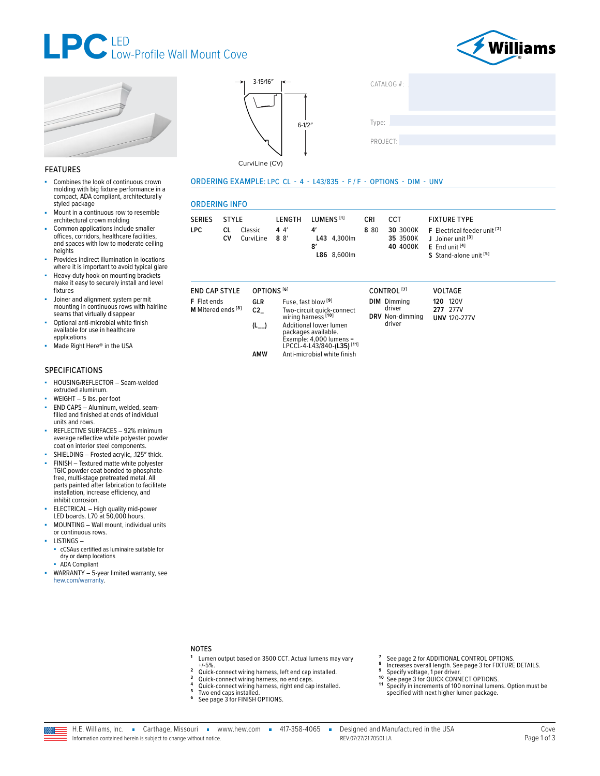





#### **FEATURES**

- Combines the look of continuous crown ×. molding with big fixture performance in a compact, ADA compliant, architecturally styled package
- Mount in a continuous row to resemble architectural crown molding
- Common applications include smaller offices, corridors, healthcare facilities, and spaces with low to moderate ceiling heights
- Provides indirect illumination in locations<br>where it is important to avoid typical glare
- Heavy-duty hook-on mounting brackets make it easy to securely install and level fixtures
- Joiner and alignment system permit mounting in continuous rows with hairline<br>seams that virtually disappear
- Optional anti-microbial white finish available for use in healthcare applications
- Made Right Here® in the USA ×.

#### **SPECIFICATIONS**

- HOUSING/REFLECTOR Seam-welded ä, extruded aluminum.
- WEIGHT 5 lbs. per foot ä,
- END CAPS Aluminum, welded, seam-<br>filled and finished at ends of individual units and rows.
- REFLECTIVE SURFACES 92% minimum average reflective white polyester powder<br>coat on interior steel components. SHIELDING - Frosted acrylic, .125" thick.
- FINISH Textured matte white polyester TGIC powder coat bonded to phosphatefree, multi-stage pretreated metal. All parts painted after fabrication to facilitate installation, increase efficiency, and inhibit corrosion.
- ELECTRICAL High quality mid-power<br>LED boards. L70 at 50,000 hours.
- MOUNTING Wall mount, individual units or continuous rows.
- LISTINGS-
- cCSAus certified as luminaire suitable for
	- dry or damp locations
	- ADA Compliant
- WARRANTY 5-year limited warranty, see ×. hew.com/warranty.





CATALOG #:

CurviLine (CV)

#### ORDERING EXAMPLE: LPC CL - 4 - L43/835 - F/F - OPTIONS - DIM - UNV

Anti-microbial white finish

#### **ORDERING INFO**

| <b>SERIES</b> | STYLE    |                          | <b>LENGTH</b> | LUMENS <sup>[1]</sup>                             | CRI | <b>CCT</b>           | <b>FIXTURE TYPE</b>                                                                                        |
|---------------|----------|--------------------------|---------------|---------------------------------------------------|-----|----------------------|------------------------------------------------------------------------------------------------------------|
| LPC.          | CL<br>Cν | Classic<br>CurviLine 88' | 44'           | Δ'<br>L43 4.300lm<br>$\mathbf{g}'$<br>L86 8.600lm | 880 | 35 3500K<br>40 4000K | 30 3000K F Electrical feeder unit [2]<br>J Joiner unit [3]<br>$E$ End unit $[4]$<br>S Stand-alone unit [5] |

#### **END CAP STYLE** OPTIONS<sup>[6]</sup>

| <b>F</b> Flat ends            | GLR | Fuse, fast blow <sup>[9</sup> ]                                                 |
|-------------------------------|-----|---------------------------------------------------------------------------------|
| M Mitered ends <sup>[8]</sup> | C2. | Two-circuit quick<br>wiring harness <sup>[1</sup>                               |
|                               | (L) | <b>Additional lower</b><br>packages availal<br>Example: 4,000<br>LPCCL-4-L43/84 |

**AMW** 

|                                                                     | CONTROL <sup>[7]</sup>                                    | <b>VOLTAGE</b>                                     |
|---------------------------------------------------------------------|-----------------------------------------------------------|----------------------------------------------------|
| 91<br><-connect<br>io1<br>lumen<br>ble.<br>lumens =<br>0-(L35) [11] | <b>DIM</b> Dimming<br>driver<br>DRV Non-dimming<br>driver | <b>120 120V</b><br>277 277V<br><b>UNV 120-277V</b> |

- **NOTES**
- Lumen output based on 3500 CCT. Actual lumens may vary  $+/-5%$ .  $\overline{2}$
- Quick-connect wiring harness, left end cap installed.  $\overline{\mathbf{3}}$
- Quick-connect wiring harness, no end caps.<br>Quick-connect wiring harness, right end cap installed.
- 
- Two end caps installed.<br>See page 3 for FINISH OPTIONS.  $\bf 6$

See page 2 for ADDITIONAL CONTROL OPTIONS.

specified with next higher lumen package.

8

 $10$ 

 $11$ 

See page 2 for ADDITIONAL CONTROL OFTIONS.<br>
Interases overall length. See page 3 for FIXTURE DETAILS.<br>
Specify voltage, 1 per driver.<br>
See page 3 for QUICK CONNECT OPTIONS.<br>
Specify in increments of 100 nominal lumens. Opt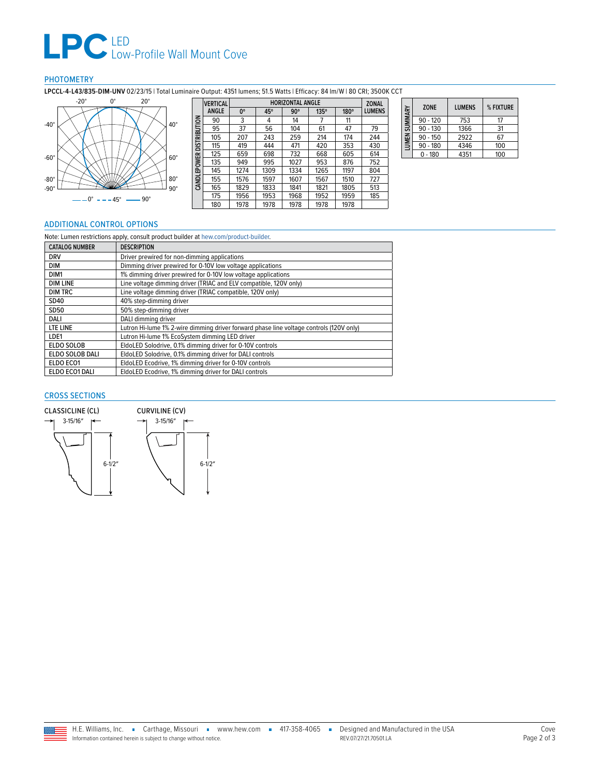# **LPC** LED<br>
Low-Profile Wall Mount Cove

### PHOTOMETRY

**LPCCL-4-L43/835-DIM-UNV** 02/23/15 | Total Luminaire Output: 4351 lumens; 51.5 Watts | Efficacy: 84 lm/W | 80 CRI; 3500K CCT



|                    | <b>VERTICAL</b> |             | <b>ZONAL</b> |            |      |             |               |
|--------------------|-----------------|-------------|--------------|------------|------|-------------|---------------|
|                    | ANGLE           | $0^{\circ}$ | 45°          | $90^\circ$ | 135° | $180^\circ$ | <b>LUMENS</b> |
|                    | 90              | 3           | 4            | 14         |      | 11          |               |
|                    | 95              | 37          | 56           | 104        | 61   | 47          | 79            |
| DISTRIBUTION       | 105             | 207         | 243          | 259        | 214  | 174         | 244           |
|                    | 115             | 419         | 444          | 471        | 420  | 353         | 430           |
|                    | 125             | 659         | 698          | 732        | 668  | 605         | 614           |
|                    | 135             | 949         | 995          | 1027       | 953  | 876         | 752           |
| <b>CANDLEPOWER</b> | 145             | 1274        | 1309         | 1334       | 1265 | 1197        | 804           |
|                    | 155             | 1576        | 1597         | 1607       | 1567 | 1510        | 727           |
|                    | 165             | 1829        | 1833         | 1841       | 1821 | 1805        | 513           |
|                    | 175             | 1956        | 1953         | 1968       | 1952 | 1959        | 185           |
|                    | 180             | 1978        | 1978         | 1978       | 1978 | 1978        |               |

| SUMMARY      | <b>ZONE</b> | <b>I UMENS</b> | % FIXTURE |
|--------------|-------------|----------------|-----------|
|              | $90 - 120$  | 753            | 17        |
|              | $90 - 130$  | 1366           | 31        |
|              | $90 - 150$  | 2922           | 67        |
| <b>LUMEN</b> | $90 - 180$  | 4346           | 100       |
|              | $0 - 180$   | 4351           | 100       |

#### <span id="page-1-0"></span>ADDITIONAL CONTROL OPTIONS

| Note: Lumen restrictions apply, consult product builder at hew.com/product-builder. |                                                                                         |  |  |  |  |
|-------------------------------------------------------------------------------------|-----------------------------------------------------------------------------------------|--|--|--|--|
| <b>CATALOG NUMBER</b>                                                               | <b>DESCRIPTION</b>                                                                      |  |  |  |  |
| <b>DRV</b><br>Driver prewired for non-dimming applications                          |                                                                                         |  |  |  |  |
| DIM                                                                                 | Dimming driver prewired for 0-10V low voltage applications                              |  |  |  |  |
| DIM1                                                                                | 1% dimming driver prewired for 0-10V low voltage applications                           |  |  |  |  |
| <b>DIM LINE</b>                                                                     | Line voltage dimming driver (TRIAC and ELV compatible, 120V only)                       |  |  |  |  |
| <b>DIM TRC</b>                                                                      | Line voltage dimming driver (TRIAC compatible, 120V only)                               |  |  |  |  |
| SD40                                                                                | 40% step-dimming driver                                                                 |  |  |  |  |
| SD50                                                                                | 50% step-dimming driver                                                                 |  |  |  |  |
| DALI                                                                                | DALI dimming driver                                                                     |  |  |  |  |
| LTE LINE                                                                            | Lutron Hi-lume 1% 2-wire dimming driver forward phase line voltage controls (120V only) |  |  |  |  |
| LDE1                                                                                | Lutron Hi-lume 1% EcoSystem dimming LED driver                                          |  |  |  |  |
| <b>ELDO SOLOB</b>                                                                   | EldoLED Solodrive, 0.1% dimming driver for 0-10V controls                               |  |  |  |  |
| ELDO SOLOB DALI                                                                     | EldoLED Solodrive, 0.1% dimming driver for DALI controls                                |  |  |  |  |
| ELDO ECO1                                                                           | EldoLED Ecodrive, 1% dimming driver for 0-10V controls                                  |  |  |  |  |
| ELDO ECO1 DALI                                                                      | EldoLED Ecodrive, 1% dimming driver for DALI controls                                   |  |  |  |  |

#### CROSS SECTIONS

Ξ